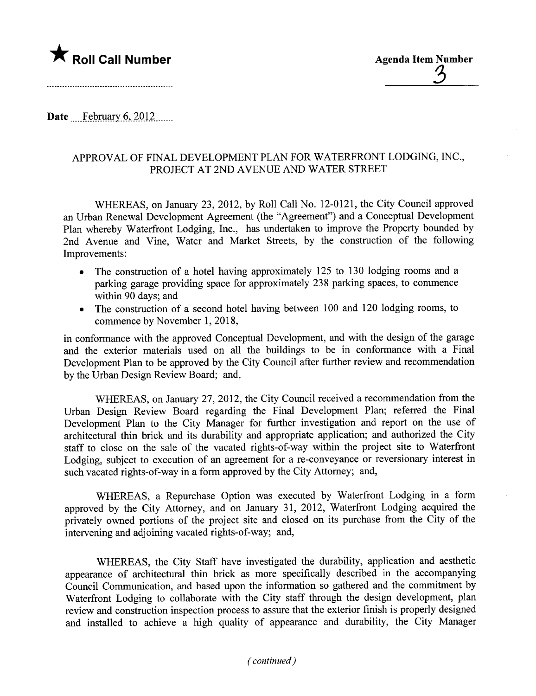

Date February 6, 2012

## APPROVAL OF FINAL DEVELOPMENT PLAN FOR WATERFRONT LODGING, INC., PROJECT AT 2ND AVENUE AND WATER STREET

WHEREAS, on January 23, 2012, by Roll Call No. 12-0121, the City Council approved an Urban Renewal Development Agreement (the "Agreement") and a Conceptual Development Plan whereby Waterfront Lodging, Inc., has undertaken to improve the Property bounded by 2nd Avenue and Vine, Water and Market Streets, by the construction of the following Improvements:

- . The construction of a hotel having approximately 125 to 130 lodging rooms and a parking garage providing space for approximately 238 parking spaces, to commence within 90 days; and
- . The construction of a second hotel having between 100 and 120 lodging rooms, to commence by November 1, 2018,

in conformance with the approved Conceptual Development, and with the design of the garage and the exterior materials used on all the buildings to be in conformance with a Final Development Plan to be approved by the City Council after further review and recommendation by the Urban Design Review Board; and,

WHEREAS, on January 27,2012, the City Council received a recommendation from the Urban Design Review Board regarding the Final Development Plan; referred the Final Development Plan to the City Manager for further investigation and report on the use of architectural thin brick and its durability and appropriate application; and authorized the City staff to close on the sale of the vacated rights-of-way within the project site to Waterfront Lodging, subject to execution of an agreement for a re-conveyance or reversionary interest in such vacated rights-of-way in a form approved by the City Attorney; and,

WHEREAS, a Repurchase Option was executed by Waterfront Lodging in a form approved by the City Attorney, and on January 31, 2012, Waterfront Lodging acquired the privately owned portions of the project site and closed on its purchase from the City of the intervening and adjoining vacated rights-of-way; and,

WHEREAS, the City Staff have investigated the durability, application and aesthetic appearance of architectural thin brick as more specifically described in the accompanying Council Communication, and based upon the information so gathered and the commitment by Waterfront Lodging to collaborate with the City staff through the design development, plan review and construction inspection process to assure that the exterior finish is properly designed and installed to achieve a high quality of appearance and durability, the City Manager